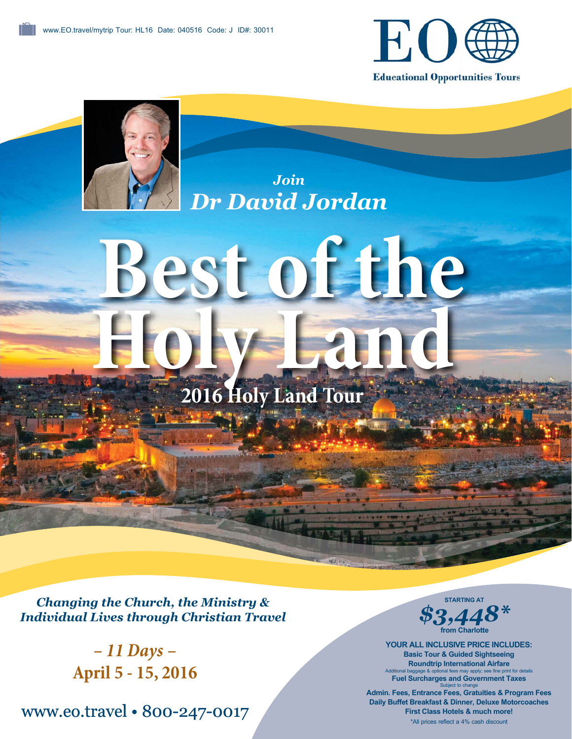

**Educational Opportunities Tours** 



*Join Dr David Jordan*

# **Best of the**  Holy Land

**2016 Holy Land Tour**

*Changing the Church, the Ministry & Individual Lives through Christian Travel*

> *– 11 Days –* **April 5 - 15, 2016**

www.eo.travel • 800-247-0017



**YOUR ALL INCLUSIVE PRICE INCLUDES: Basic Tour & Guided Sightseeing Roundtrip International Airfare** Additional baggage & optional fees may apply; see fine print for details **Fuel Surcharges and Government Taxes** Subject to change

**Admin. Fees, Entrance Fees, Gratuities & Program Fees Daily Buffet Breakfast & Dinner, Deluxe Motorcoaches First Class Hotels & much more!** \*All prices reflect a 4% cash discount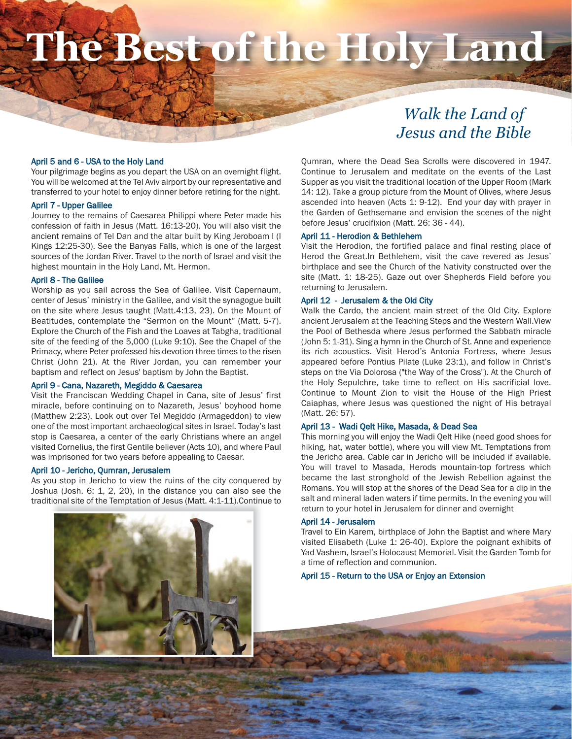# **The Best of the Holy Land**

# *Walk the Land of Jesus and the Bible*

#### April 5 and 6 - USA to the Holy Land

Your pilgrimage begins as you depart the USA on an overnight flight. You will be welcomed at the Tel Aviv airport by our representative and transferred to your hotel to enjoy dinner before retiring for the night.

#### April 7 - Upper Galilee

Journey to the remains of Caesarea Philippi where Peter made his confession of faith in Jesus (Matt. 16:13-20). You will also visit the ancient remains of Tel Dan and the altar built by King Jeroboam I (I Kings 12:25-30). See the Banyas Falls, which is one of the largest sources of the Jordan River. Travel to the north of Israel and visit the highest mountain in the Holy Land, Mt. Hermon.

#### April 8 - The Galilee

Worship as you sail across the Sea of Galilee. Visit Capernaum, center of Jesus' ministry in the Galilee, and visit the synagogue built on the site where Jesus taught (Matt.4:13, 23). On the Mount of Beatitudes, contemplate the "Sermon on the Mount" (Matt. 5-7). Explore the Church of the Fish and the Loaves at Tabgha, traditional site of the feeding of the 5,000 (Luke 9:10). See the Chapel of the Primacy, where Peter professed his devotion three times to the risen Christ (John 21). At the River Jordan, you can remember your baptism and reflect on Jesus' baptism by John the Baptist.

#### April 9 - Cana, Nazareth, Megiddo & Caesarea

Visit the Franciscan Wedding Chapel in Cana, site of Jesus' first miracle, before continuing on to Nazareth, Jesus' boyhood home (Matthew 2:23). Look out over Tel Megiddo (Armageddon) to view one of the most important archaeological sites in Israel. Today's last stop is Caesarea, a center of the early Christians where an angel visited Cornelius, the first Gentile believer (Acts 10), and where Paul was imprisoned for two years before appealing to Caesar.

#### April 10 - Jericho, Qumran, Jerusalem

As you stop in Jericho to view the ruins of the city conquered by Joshua (Josh. 6: 1, 2, 20), in the distance you can also see the traditional site of the Temptation of Jesus (Matt. 4:1-11).Continue to



Qumran, where the Dead Sea Scrolls were discovered in 1947. Continue to Jerusalem and meditate on the events of the Last Supper as you visit the traditional location of the Upper Room (Mark 14: 12). Take a group picture from the Mount of Olives, where Jesus ascended into heaven (Acts 1: 9-12). End your day with prayer in the Garden of Gethsemane and envision the scenes of the night before Jesus' crucifixion (Matt. 26: 36 - 44).

#### April 11 - Herodion & Bethlehem

Visit the Herodion, the fortified palace and final resting place of Herod the Great.In Bethlehem, visit the cave revered as Jesus' birthplace and see the Church of the Nativity constructed over the site (Matt. 1: 18-25). Gaze out over Shepherds Field before you returning to Jerusalem.

#### April 12 - Jerusalem & the Old City

Walk the Cardo, the ancient main street of the Old City. Explore ancient Jerusalem at the Teaching Steps and the Western Wall.View the Pool of Bethesda where Jesus performed the Sabbath miracle (John 5: 1-31). Sing a hymn in the Church of St. Anne and experience its rich acoustics. Visit Herod's Antonia Fortress, where Jesus appeared before Pontius Pilate (Luke 23:1), and follow in Christ's steps on the Via Dolorosa ("the Way of the Cross"). At the Church of the Holy Sepulchre, take time to reflect on His sacrificial love. Continue to Mount Zion to visit the House of the High Priest Caiaphas, where Jesus was questioned the night of His betrayal (Matt. 26: 57).

#### April 13 - Wadi Qelt Hike, Masada, & Dead Sea

This morning you will enjoy the Wadi Qelt Hike (need good shoes for hiking, hat, water bottle), where you will view Mt. Temptations from the Jericho area. Cable car in Jericho will be included if available. You will travel to Masada, Herods mountain-top fortress which became the last stronghold of the Jewish Rebellion against the Romans. You will stop at the shores of the Dead Sea for a dip in the salt and mineral laden waters if time permits. In the evening you will return to your hotel in Jerusalem for dinner and overnight

#### April 14 - Jerusalem

Travel to Ein Karem, birthplace of John the Baptist and where Mary visited Elisabeth (Luke 1: 26-40). Explore the poignant exhibits of Yad Vashem, Israel's Holocaust Memorial. Visit the Garden Tomb for a time of reflection and communion.

#### April 15 - Return to the USA or Enjoy an Extension

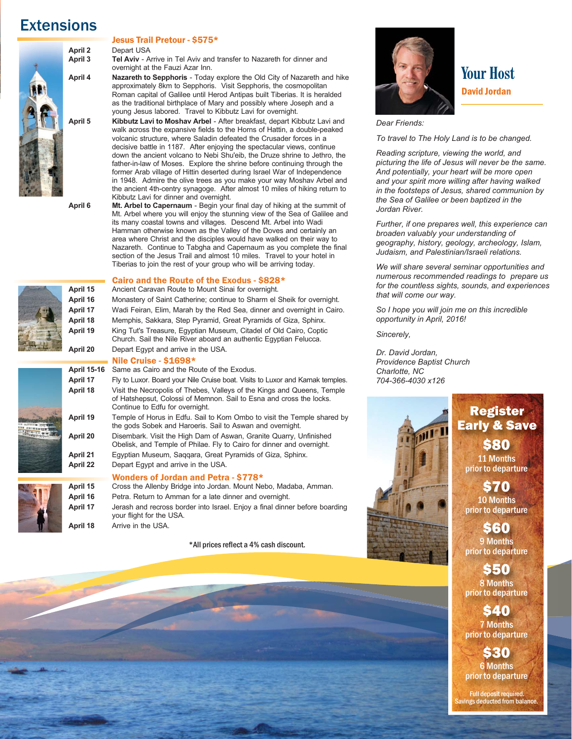# **Extensions**





**April 2** Depart USA<br> **April 3** Tel Aviv - A **Tel Aviv** - Arrive in Tel Aviv and transfer to Nazareth for dinner and overnight at the Fauzi Azar Inn.

**April 4 Nazareth to Sepphoris** - Today explore the Old City of Nazareth and hike approximately 8km to Sepphoris. Visit Sepphoris, the cosmopolitan Roman capital of Galilee until Herod Antipas built Tiberias. It is heralded as the traditional birthplace of Mary and possibly where Joseph and a young Jesus labored. Travel to Kibbutz Lavi for overnight.<br>April 5 **Kibbutz Lavi to Moshav Arbel -** After breakfast, depart Kil

**Kibbutz Lavi to Moshav Arbel** - After breakfast, depart Kibbutz Lavi and walk across the expansive fields to the Horns of Hattin, a double-peaked volcanic structure, where Saladin defeated the Crusader forces in a decisive battle in 1187. After enjoying the spectacular views, continue down the ancient volcano to Nebi Shu'eib, the Druze shrine to Jethro, the father-in-law of Moses. Explore the shrine before continuing through the former Arab village of Hittin deserted during Israel War of Independence in 1948. Admire the olive trees as you make your way Moshav Arbel and the ancient 4th-centry synagoge. After almost 10 miles of hiking return to Kibbutz Lavi for dinner and overnight.<br>April 6 Mt. Arbel to Capernaum - Begin your

**Mt. Arbel to Capernaum** - Begin your final day of hiking at the summit of Mt. Arbel where you will enjoy the stunning view of the Sea of Galilee and its many coastal towns and villages. Descend Mt. Arbel into Wadi Hamman otherwise known as the Valley of the Doves and certainly an area where Christ and the disciples would have walked on their way to Nazareth. Continue to Tabgha and Capernaum as you complete the final section of the Jesus Trail and almost 10 miles. Travel to your hotel in Tiberias to join the rest of your group who will be arriving today.

**Cairo and the Route of the Exodus - \$828\***<br>**April 15** Ancient Caravan Route to Mount Sinai for overnight. Ancient Caravan Route to Mount Sinai for overnight. **April 16** Monastery of Saint Catherine; continue to Sharm el Sheik for overnight. April 17 Wadi Feiran, Elim, Marah by the Red Sea, dinner and overnight in Cairo.<br>April 18 Memphis, Sakkara, Step Pyramid, Great Pyramids of Giza, Sphinx. **April 18** Memphis, Sakkara, Step Pyramid, Great Pyramids of Giza, Sphinx. **April 19** King Tut's Treasure, Egyptian Museum, Citadel of Old Cairo, Coptic

 Church. Sail the Nile River aboard an authentic Egyptian Felucca. **April 20** Depart Egypt and arrive in the USA.

**Nile Cruise - \$1698\***<br>**April 15-16** Same as Cairo and the Ro Same as Cairo and the Route of the Exodus. **April 17** Fly to Luxor. Board your Nile Cruise boat. Visits to Luxor and Karnak temples.<br>**April 18** Visit the Necropolis of Thebes. Valleys of the Kings and Queens. Temple **April 18** Visit the Necropolis of Thebes, Valleys of the Kings and Queens, Temple of Hatshepsut, Colossi of Memnon. Sail to Esna and cross the locks. Continue to Edfu for overnight. **April 19** Temple of Horus in Edfu. Sail to Kom Ombo to visit the Temple shared by the gods Sobek and Haroeris. Sail to Aswan and overnight. **April 20** Disembark. Visit the High Dam of Aswan, Granite Quarry, Unfinished Obelisk, and Temple of Philae. Fly to Cairo for dinner and overnight.<br>April 21 Eqyptian Museum. Saggara. Great Pyramids of Giza. Sphinx **April 21** Egyptian Museum, Saqqara, Great Pyramids of Giza, Sphinx. **April 22** Depart Egypt and arrive in the USA.

## **1997 - Wonders of Jordan and Petra - \$778\***<br> **April 15** Cross the Allenby Bridge into Jordan. Mount Ne

April 15 Cross the Allenby Bridge into Jordan. Mount Nebo, Madaba, Amman.<br>April 16 Petra. Return to Amman for a late dinner and overnight. April 16 Petra. Return to Amman for a late dinner and overnight.<br>**April 17** Jerash and recross border into Israel. Eniov a final dinne Jerash and recross border into Israel. Enjoy a final dinner before boarding your flight for the USA. **April 18** Arrive in the USA.

\*All prices reflect a 4% cash discount.



**Your Host** David Jordan

#### *Dear Friends:*

*To travel to The Holy Land is to be changed.* 

*Reading scripture, viewing the world, and picturing the life of Jesus will never be the same. And potentially, your heart will be more open and your spirit more willing after having walked in the footsteps of Jesus, shared communion by the Sea of Galilee or been baptized in the Jordan River.*

*Further, if one prepares well, this experience can broaden valuably your understanding of geography, history, geology, archeology, Islam, Judaism, and Palestinian/Israeli relations.*

*We will share several seminar opportunities and numerous recommended readings to prepare us for the countless sights, sounds, and experiences that will come our way.* 

*So I hope you will join me on this incredible opportunity in April, 2016!*

*Sincerely,* 

*Dr. David Jordan, Providence Baptist Church Charlotte, NC 704-366-4030 x126*



Register Early & Save **S80** 

11 Months prior to departure

\$70 10 Months prior to departure

\$60 9 Months prior to departure

\$50 8 Months prior to departure

**S40** 7 Months prior to departure

 $\boldsymbol{\kappa}$  (i) 6 Months prior to departure

Full deposit required. ings deducted from balance.